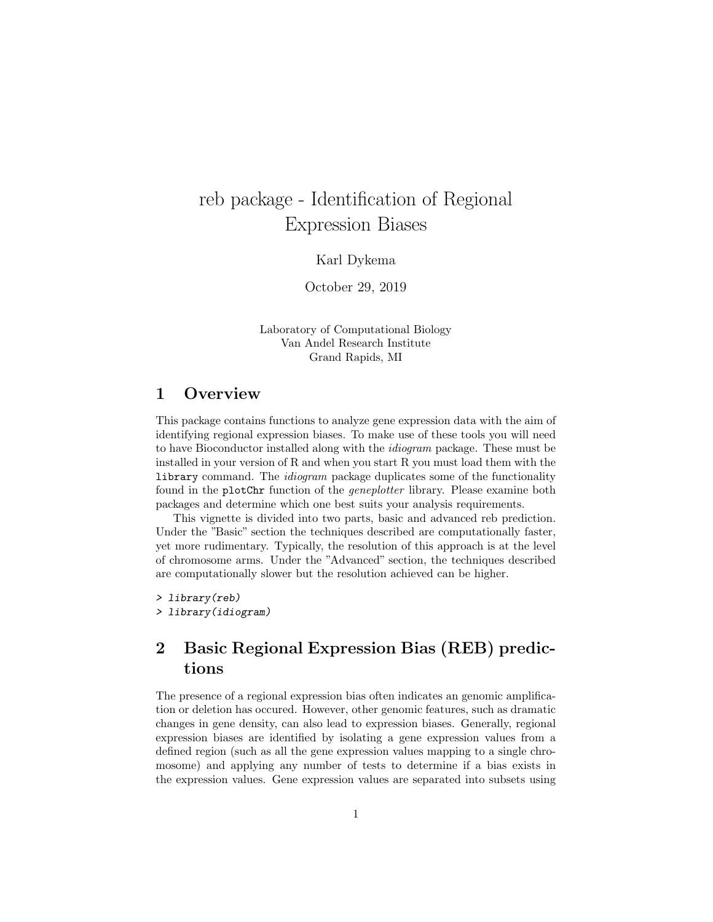# reb package - Identification of Regional Expression Biases

Karl Dykema

October 29, 2019

Laboratory of Computational Biology Van Andel Research Institute Grand Rapids, MI

### 1 Overview

This package contains functions to analyze gene expression data with the aim of identifying regional expression biases. To make use of these tools you will need to have Bioconductor installed along with the idiogram package. These must be installed in your version of R and when you start R you must load them with the library command. The idiogram package duplicates some of the functionality found in the plotChr function of the geneplotter library. Please examine both packages and determine which one best suits your analysis requirements.

This vignette is divided into two parts, basic and advanced reb prediction. Under the "Basic" section the techniques described are computationally faster, yet more rudimentary. Typically, the resolution of this approach is at the level of chromosome arms. Under the "Advanced" section, the techniques described are computationally slower but the resolution achieved can be higher.

> library(reb) > library(idiogram)

# 2 Basic Regional Expression Bias (REB) predictions

The presence of a regional expression bias often indicates an genomic amplification or deletion has occured. However, other genomic features, such as dramatic changes in gene density, can also lead to expression biases. Generally, regional expression biases are identified by isolating a gene expression values from a defined region (such as all the gene expression values mapping to a single chromosome) and applying any number of tests to determine if a bias exists in the expression values. Gene expression values are separated into subsets using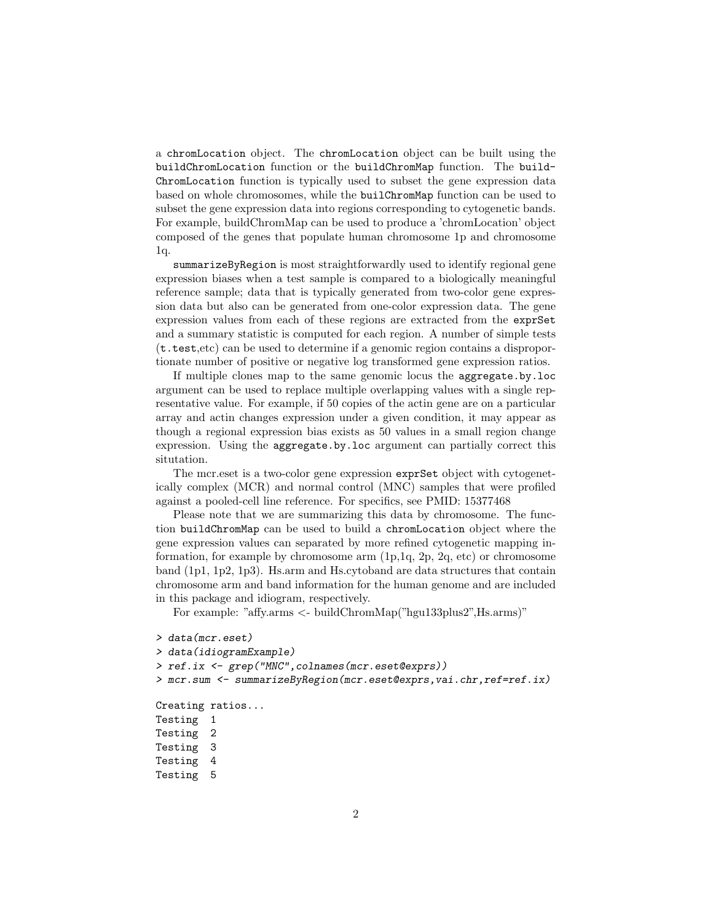a chromLocation object. The chromLocation object can be built using the buildChromLocation function or the buildChromMap function. The build-ChromLocation function is typically used to subset the gene expression data based on whole chromosomes, while the builChromMap function can be used to subset the gene expression data into regions corresponding to cytogenetic bands. For example, buildChromMap can be used to produce a 'chromLocation' object composed of the genes that populate human chromosome 1p and chromosome 1q.

summarizeByRegion is most straightforwardly used to identify regional gene expression biases when a test sample is compared to a biologically meaningful reference sample; data that is typically generated from two-color gene expression data but also can be generated from one-color expression data. The gene expression values from each of these regions are extracted from the exprSet and a summary statistic is computed for each region. A number of simple tests (t.test,etc) can be used to determine if a genomic region contains a disproportionate number of positive or negative log transformed gene expression ratios.

If multiple clones map to the same genomic locus the aggregate.by.loc argument can be used to replace multiple overlapping values with a single representative value. For example, if 50 copies of the actin gene are on a particular array and actin changes expression under a given condition, it may appear as though a regional expression bias exists as 50 values in a small region change expression. Using the aggregate.by.loc argument can partially correct this situtation.

The mcr.eset is a two-color gene expression exprSet object with cytogenetically complex (MCR) and normal control (MNC) samples that were profiled against a pooled-cell line reference. For specifics, see PMID: 15377468

Please note that we are summarizing this data by chromosome. The function buildChromMap can be used to build a chromLocation object where the gene expression values can separated by more refined cytogenetic mapping information, for example by chromosome arm (1p,1q, 2p, 2q, etc) or chromosome band (1p1, 1p2, 1p3). Hs.arm and Hs.cytoband are data structures that contain chromosome arm and band information for the human genome and are included in this package and idiogram, respectively.

For example: "affy.arms <- buildChromMap("hgu133plus2",Hs.arms)"

```
> data(mcr.eset)
> data(idiogramExample)
> ref.ix <- grep("MNC",colnames(mcr.eset@exprs))
> mcr.sum <- summarizeByRegion(mcr.eset@exprs,vai.chr,ref=ref.ix)
Creating ratios...
Testing 1
Testing 2
Testing 3
Testing 4
Testing 5
```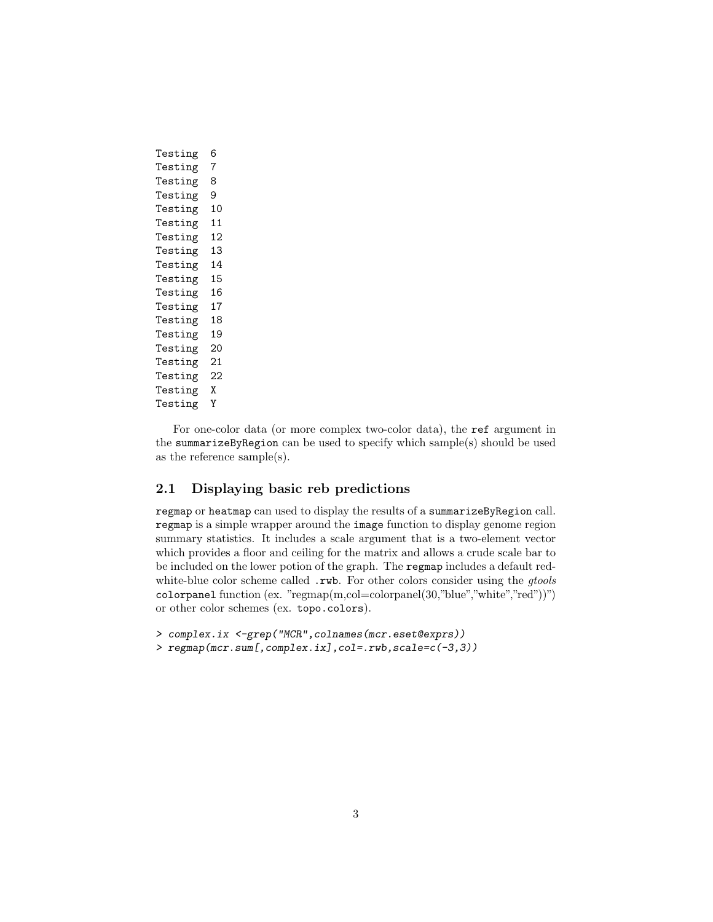| Testing | 6  |
|---------|----|
| Testing | 7  |
| Testing | 8  |
| Testing | 9  |
| Testing | 10 |
| Testing | 11 |
| Testing | 12 |
| Testing | 13 |
| Testing | 14 |
| Testing | 15 |
| Testing | 16 |
| Testing | 17 |
| Testing | 18 |
| Testing | 19 |
| Testing | 20 |
| Testing | 21 |
| Testing | 22 |
| Testing | χ  |
| Testing | Y  |

For one-color data (or more complex two-color data), the ref argument in the summarizeByRegion can be used to specify which sample(s) should be used as the reference sample(s).

### 2.1 Displaying basic reb predictions

regmap or heatmap can used to display the results of a summarizeByRegion call. regmap is a simple wrapper around the image function to display genome region summary statistics. It includes a scale argument that is a two-element vector which provides a floor and ceiling for the matrix and allows a crude scale bar to be included on the lower potion of the graph. The regmap includes a default redwhite-blue color scheme called .rwb. For other colors consider using the *gtools* colorpanel function (ex. "regmap(m,col=colorpanel(30,"blue","white","red"))") or other color schemes (ex. topo.colors).

```
> complex.ix <-grep("MCR",colnames(mcr.eset@exprs))
> regmap(mcr.sum[,complex.ix],col=.rwb,scale=c(-3,3))
```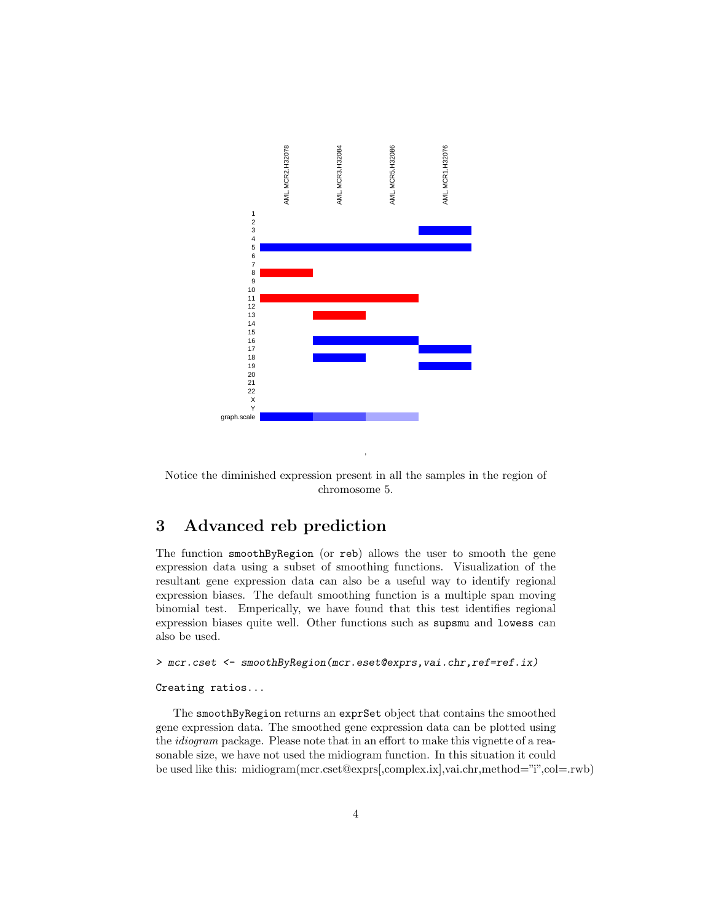

Notice the diminished expression present in all the samples in the region of chromosome 5.

,

## 3 Advanced reb prediction

The function smoothByRegion (or reb) allows the user to smooth the gene expression data using a subset of smoothing functions. Visualization of the resultant gene expression data can also be a useful way to identify regional expression biases. The default smoothing function is a multiple span moving binomial test. Emperically, we have found that this test identifies regional expression biases quite well. Other functions such as supsmu and lowess can also be used.

#### > mcr.cset <- smoothByRegion(mcr.eset@exprs, vai.chr, ref=ref.ix)

#### Creating ratios...

The smoothByRegion returns an exprSet object that contains the smoothed gene expression data. The smoothed gene expression data can be plotted using the idiogram package. Please note that in an effort to make this vignette of a reasonable size, we have not used the midiogram function. In this situation it could be used like this: midiogram(mcr.cset@exprs[,complex.ix],vai.chr,method="i",col=.rwb)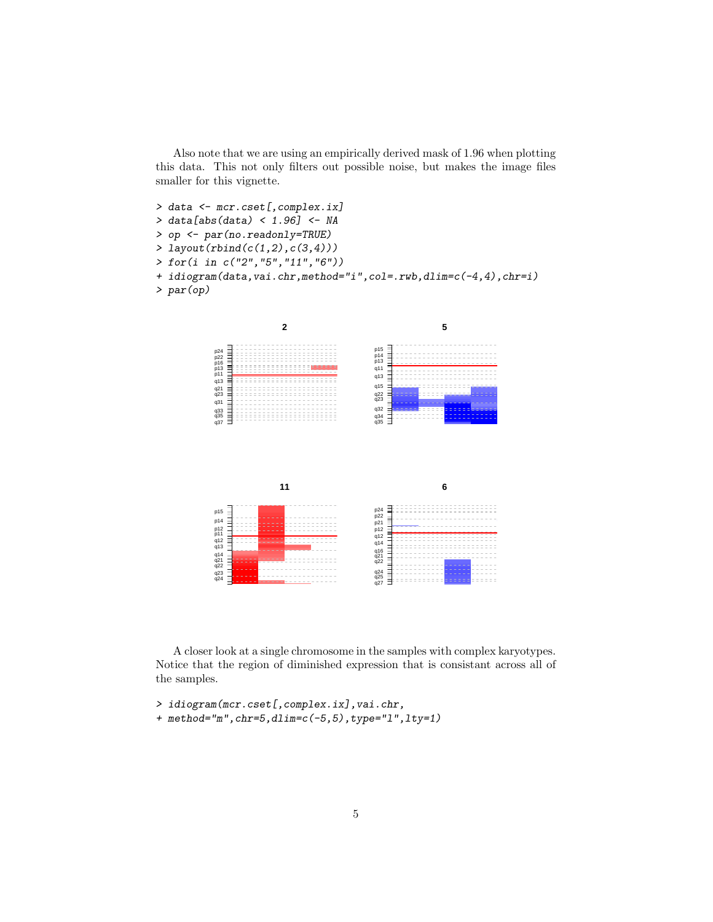Also note that we are using an empirically derived mask of 1.96 when plotting this data. This not only filters out possible noise, but makes the image files smaller for this vignette.

> data <- mcr.cset[,complex.ix] > data[abs(data) < 1.96] <- NA > op <- par(no.readonly=TRUE) > layout(rbind(c(1,2),c(3,4)))  $>$  for(i\_ in  $\,c(\,''2\,'',\,''5\,'',\,''11\,'',\,''6\,'')\,)$ + idiogram(data,vai.chr,method="i",col=.rwb,dlim=c(-4,4),chr=i) > par(op)



A closer look at a single chromosome in the samples with complex karyotypes. Notice that the region of diminished expression that is consistant across all of the samples.

- > idiogram(mcr.cset[,complex.ix],vai.chr,
- + method="m", chr=5, dlim=c(-5, 5), type="1", lty=1)